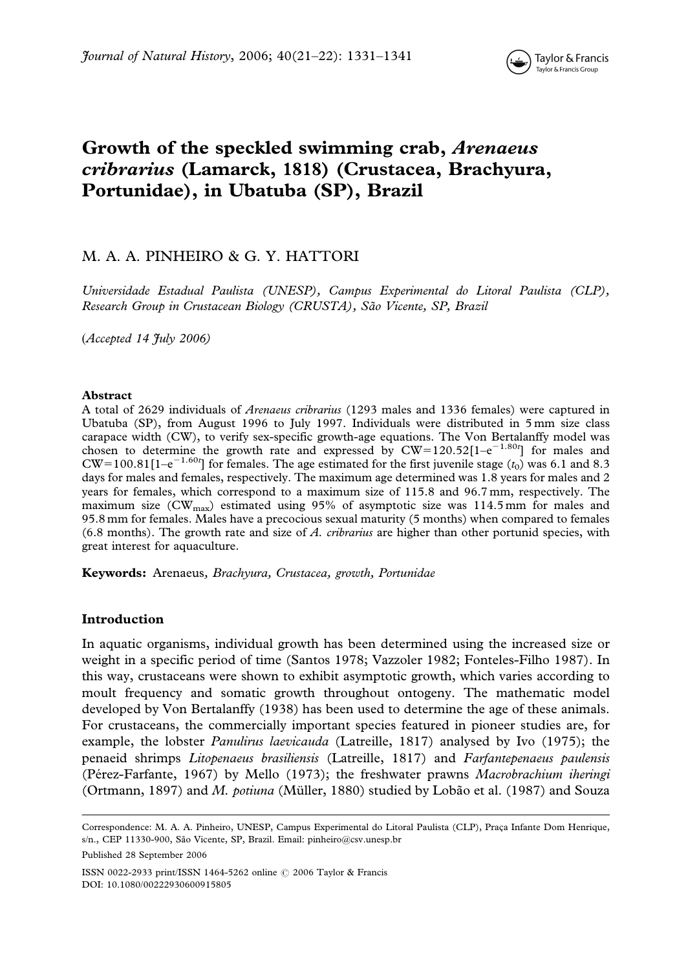# Growth of the speckled swimming crab, Arenaeus cribrarius (Lamarck, 1818) (Crustacea, Brachyura, Portunidae), in Ubatuba (SP), Brazil

# M. A. A. PINHEIRO & G. Y. HATTORI

Universidade Estadual Paulista (UNESP), Campus Experimental do Litoral Paulista (CLP), Research Group in Crustacean Biology (CRUSTA), São Vicente, SP, Brazil

 $(Acceted 14$  Huly 2006)

#### Abstract

A total of 2629 individuals of Arenaeus cribrarius (1293 males and 1336 females) were captured in Ubatuba (SP), from August 1996 to July 1997. Individuals were distributed in 5 mm size class carapace width (CW), to verify sex-specific growth-age equations. The Von Bertalanffy model was chosen to determine the growth rate and expressed by  $CW=120.52[1-e^{-1.80t}]$  for males and  $CW=100.81[1-e^{-1.60t}]$  for females. The age estimated for the first juvenile stage  $(t_0)$  was 6.1 and 8.3 days for males and females, respectively. The maximum age determined was 1.8 years for males and 2 years for females, which correspond to a maximum size of 115.8 and 96.7 mm, respectively. The maximum size ( $CW_{\text{max}}$ ) estimated using 95% of asymptotic size was 114.5 mm for males and 95.8 mm for females. Males have a precocious sexual maturity (5 months) when compared to females  $(6.8 \text{ months})$ . The growth rate and size of A. cribrarius are higher than other portunid species, with great interest for aquaculture.

Keywords: Arenaeus, Brachyura, Crustacea, growth, Portunidae

# Introduction

In aquatic organisms, individual growth has been determined using the increased size or weight in a specific period of time (Santos 1978; Vazzoler 1982; Fonteles-Filho 1987). In this way, crustaceans were shown to exhibit asymptotic growth, which varies according to moult frequency and somatic growth throughout ontogeny. The mathematic model developed by Von Bertalanffy (1938) has been used to determine the age of these animals. For crustaceans, the commercially important species featured in pioneer studies are, for example, the lobster *Panulirus laevicauda* (Latreille, 1817) analysed by Ivo (1975); the penaeid shrimps Litopenaeus brasiliensis (Latreille, 1817) and Farfantepenaeus paulensis (Pérez-Farfante, 1967) by Mello (1973); the freshwater prawns Macrobrachium iheringi (Ortmann, 1897) and M. potiuna (Müller, 1880) studied by Lobão et al. (1987) and Souza

Published 28 September 2006

ISSN 0022-2933 print/ISSN 1464-5262 online © 2006 Taylor & Francis DOI: 10.1080/00222930600915805

Correspondence: M. A. A. Pinheiro, UNESP, Campus Experimental do Litoral Paulista (CLP), Praça Infante Dom Henrique, s/n., CEP 11330-900, São Vicente, SP, Brazil. Email: pinheiro@csv.unesp.br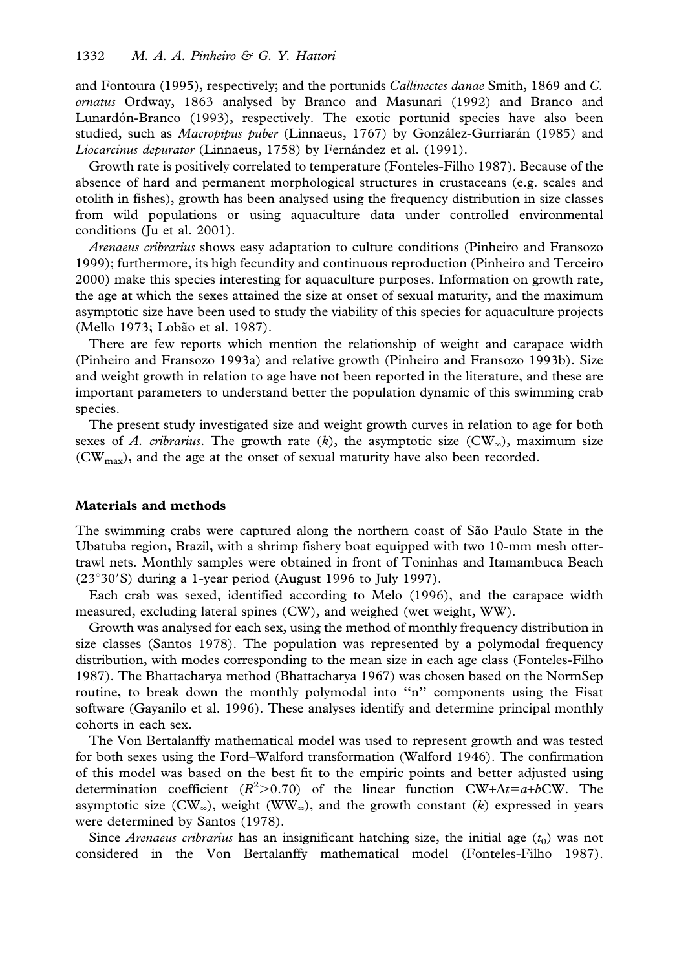and Fontoura (1995), respectively; and the portunids Callinectes danae Smith, 1869 and C. ornatus Ordway, 1863 analysed by Branco and Masunari (1992) and Branco and Lunardón-Branco (1993), respectively. The exotic portunid species have also been studied, such as *Macropipus puber* (Linnaeus, 1767) by González-Gurriarán (1985) and Liocarcinus depurator (Linnaeus, 1758) by Fernández et al. (1991).

Growth rate is positively correlated to temperature (Fonteles-Filho 1987). Because of the absence of hard and permanent morphological structures in crustaceans (e.g. scales and otolith in fishes), growth has been analysed using the frequency distribution in size classes from wild populations or using aquaculture data under controlled environmental conditions (Ju et al. 2001).

Arenaeus cribrarius shows easy adaptation to culture conditions (Pinheiro and Fransozo 1999); furthermore, its high fecundity and continuous reproduction (Pinheiro and Terceiro 2000) make this species interesting for aquaculture purposes. Information on growth rate, the age at which the sexes attained the size at onset of sexual maturity, and the maximum asymptotic size have been used to study the viability of this species for aquaculture projects (Mello 1973; Lobão et al. 1987).

There are few reports which mention the relationship of weight and carapace width (Pinheiro and Fransozo 1993a) and relative growth (Pinheiro and Fransozo 1993b). Size and weight growth in relation to age have not been reported in the literature, and these are important parameters to understand better the population dynamic of this swimming crab species.

The present study investigated size and weight growth curves in relation to age for both sexes of A. cribrarius. The growth rate (k), the asymptotic size (CW<sub> $\infty$ </sub>), maximum size  $(CW<sub>max</sub>)$ , and the age at the onset of sexual maturity have also been recorded.

#### Materials and methods

The swimming crabs were captured along the northern coast of São Paulo State in the Ubatuba region, Brazil, with a shrimp fishery boat equipped with two 10-mm mesh ottertrawl nets. Monthly samples were obtained in front of Toninhas and Itamambuca Beach  $(23°30'$ S) during a 1-year period (August 1996 to July 1997).

Each crab was sexed, identified according to Melo (1996), and the carapace width measured, excluding lateral spines (CW), and weighed (wet weight, WW).

Growth was analysed for each sex, using the method of monthly frequency distribution in size classes (Santos 1978). The population was represented by a polymodal frequency distribution, with modes corresponding to the mean size in each age class (Fonteles-Filho 1987). The Bhattacharya method (Bhattacharya 1967) was chosen based on the NormSep routine, to break down the monthly polymodal into "n" components using the Fisat software (Gayanilo et al. 1996). These analyses identify and determine principal monthly cohorts in each sex.

The Von Bertalanffy mathematical model was used to represent growth and was tested for both sexes using the Ford–Walford transformation (Walford 1946). The confirmation of this model was based on the best fit to the empiric points and better adjusted using determination coefficient ( $R^2 > 0.70$ ) of the linear function CW+ $\Delta t = a + b$ CW. The asymptotic size (CW<sub> $\infty$ </sub>), weight (WW<sub> $\infty$ </sub>), and the growth constant (k) expressed in years were determined by Santos (1978).

Since *Arenaeus cribrarius* has an insignificant hatching size, the initial age  $(t_0)$  was not considered in the Von Bertalanffy mathematical model (Fonteles-Filho 1987).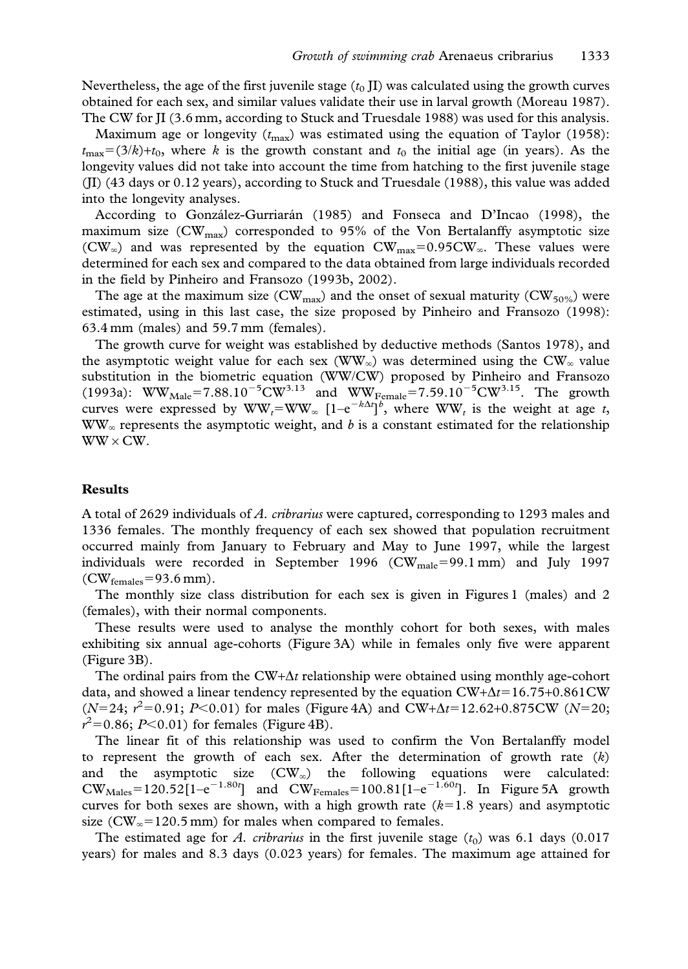Nevertheless, the age of the first juvenile stage  $(t_0 \text{II})$  was calculated using the growth curves obtained for each sex, and similar values validate their use in larval growth (Moreau 1987). The CW for JI (3.6 mm, according to Stuck and Truesdale 1988) was used for this analysis.

Maximum age or longevity  $(t_{\text{max}})$  was estimated using the equation of Taylor (1958):  $t_{\text{max}}=(3/k)+t_0$ , where k is the growth constant and  $t_0$  the initial age (in years). As the longevity values did not take into account the time from hatching to the first juvenile stage (JI) (43 days or 0.12 years), according to Stuck and Truesdale (1988), this value was added into the longevity analyses.

According to González-Gurriarán (1985) and Fonseca and D'Incao (1998), the maximum size ( $CW_{max}$ ) corresponded to 95% of the Von Bertalanffy asymptotic size (CW<sub> $\infty$ </sub>) and was represented by the equation CW<sub>max</sub>=0.95CW<sub> $\infty$ </sub>. These values were determined for each sex and compared to the data obtained from large individuals recorded in the field by Pinheiro and Fransozo (1993b, 2002).

The age at the maximum size (CW<sub>max</sub>) and the onset of sexual maturity (CW<sub>50%</sub>) were estimated, using in this last case, the size proposed by Pinheiro and Fransozo (1998): 63.4 mm (males) and 59.7 mm (females).

The growth curve for weight was established by deductive methods (Santos 1978), and the asymptotic weight value for each sex (WW<sub> $_{\infty}$ </sub>) was determined using the CW<sub> $_{\infty}$ </sub> value substitution in the biometric equation (WW/CW) proposed by Pinheiro and Fransozo (1993a): WW<sub>Male</sub>=7.88.10<sup>-5</sup>CW<sup>3.13</sup> and WW<sub>Female</sub>=7.59.10<sup>-5</sup>CW<sup>3.15</sup>. The growth curves were expressed by  $WW_t = WW_\infty$   $[1-e^{-k\Delta t}]^b$ , where  $WW_t$  is the weight at age t,  $WW<sub>\infty</sub>$  represents the asymptotic weight, and b is a constant estimated for the relationship  $WW \times CW$ .

### Results

A total of 2629 individuals of A. cribrarius were captured, corresponding to 1293 males and 1336 females. The monthly frequency of each sex showed that population recruitment occurred mainly from January to February and May to June 1997, while the largest individuals were recorded in September 1996 ( $CW_{male} = 99.1$  mm) and July 1997  $(CW_{\text{females}}=93.6 \text{ mm}).$ 

The monthly size class distribution for each sex is given in Figures 1 (males) and 2 (females), with their normal components.

These results were used to analyse the monthly cohort for both sexes, with males exhibiting six annual age-cohorts (Figure 3A) while in females only five were apparent (Figure 3B).

The ordinal pairs from the  $CW+\Delta t$  relationship were obtained using monthly age-cohort data, and showed a linear tendency represented by the equation  $CW+ \Delta t=16.75+0.861CW$  $(N=24; r^2=0.91; P<0.01)$  for males (Figure 4A) and CW+ $\Delta t=12.62+0.875$ CW (N=20;  $r^2 = 0.86$ ; P<0.01) for females (Figure 4B).

The linear fit of this relationship was used to confirm the Von Bertalanffy model to represent the growth of each sex. After the determination of growth rate  $(k)$ and the asymptotic size  $(CW_{\infty})$  the following equations were calculated:  $CW_{\text{Males}} = 120.52[1 - e^{-1.80t}]$  and  $CW_{\text{Females}} = 100.81[1 - e^{-1.60t}]$ . In Figure 5A growth curves for both sexes are shown, with a high growth rate  $(k=1.8$  years) and asymptotic size ( $CW_{\infty}$ =120.5 mm) for males when compared to females.

The estimated age for A. cribrarius in the first juvenile stage  $(t_0)$  was 6.1 days (0.017 years) for males and 8.3 days (0.023 years) for females. The maximum age attained for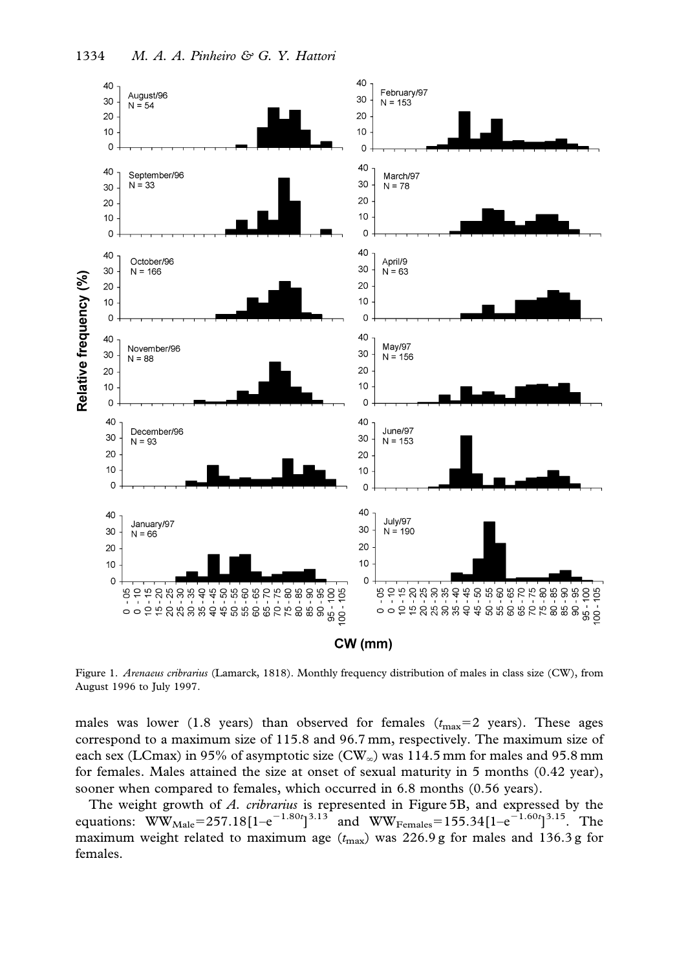

Figure 1. Arenaeus cribrarius (Lamarck, 1818). Monthly frequency distribution of males in class size (CW), from August 1996 to July 1997.

males was lower (1.8 years) than observed for females  $(t_{\text{max}}=2 \text{ years})$ . These ages correspond to a maximum size of 115.8 and 96.7 mm, respectively. The maximum size of each sex (LCmax) in 95% of asymptotic size (CW<sub> $\infty$ </sub>) was 114.5 mm for males and 95.8 mm for females. Males attained the size at onset of sexual maturity in 5 months (0.42 year), sooner when compared to females, which occurred in 6.8 months (0.56 years).

The weight growth of A. cribrarius is represented in Figure 5B, and expressed by the equations: WW<sub>Male</sub>=257.18[1–e<sup>-1.80t</sup>]<sup>3.13</sup> and WW<sub>Females</sub>=155.34[1–e<sup>-1.60t</sup>]<sup>3.15</sup>. The maximum weight related to maximum age  $(t_{\text{max}})$  was 226.9 g for males and 136.3 g for females.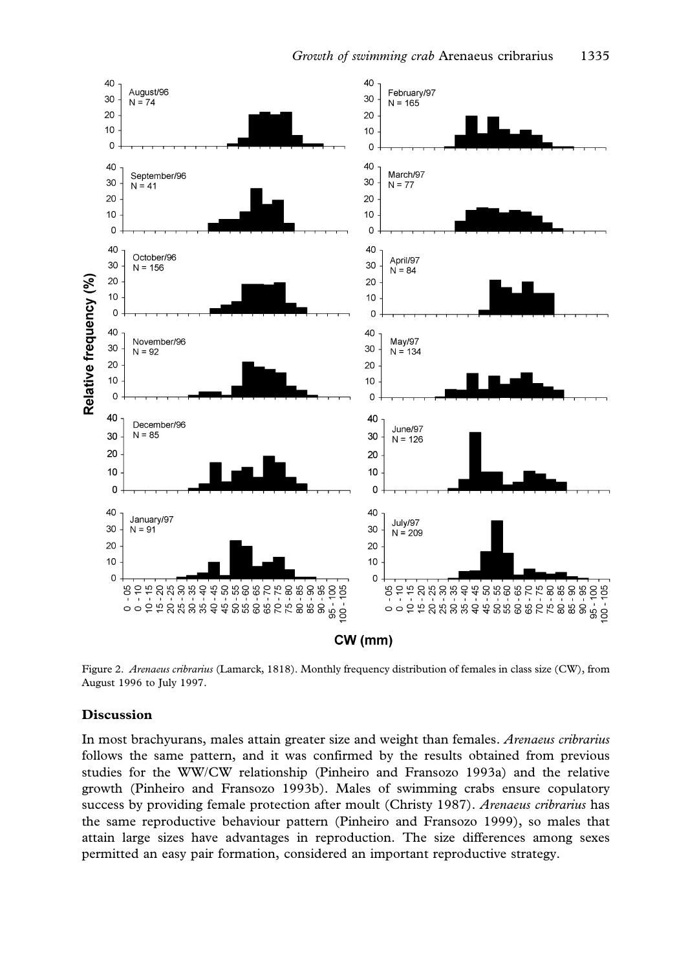

Figure 2. Arenaeus cribrarius (Lamarck, 1818). Monthly frequency distribution of females in class size (CW), from August 1996 to July 1997.

# Discussion

In most brachyurans, males attain greater size and weight than females. Arenaeus cribrarius follows the same pattern, and it was confirmed by the results obtained from previous studies for the WW/CW relationship (Pinheiro and Fransozo 1993a) and the relative growth (Pinheiro and Fransozo 1993b). Males of swimming crabs ensure copulatory success by providing female protection after moult (Christy 1987). Arenaeus cribrarius has the same reproductive behaviour pattern (Pinheiro and Fransozo 1999), so males that attain large sizes have advantages in reproduction. The size differences among sexes permitted an easy pair formation, considered an important reproductive strategy.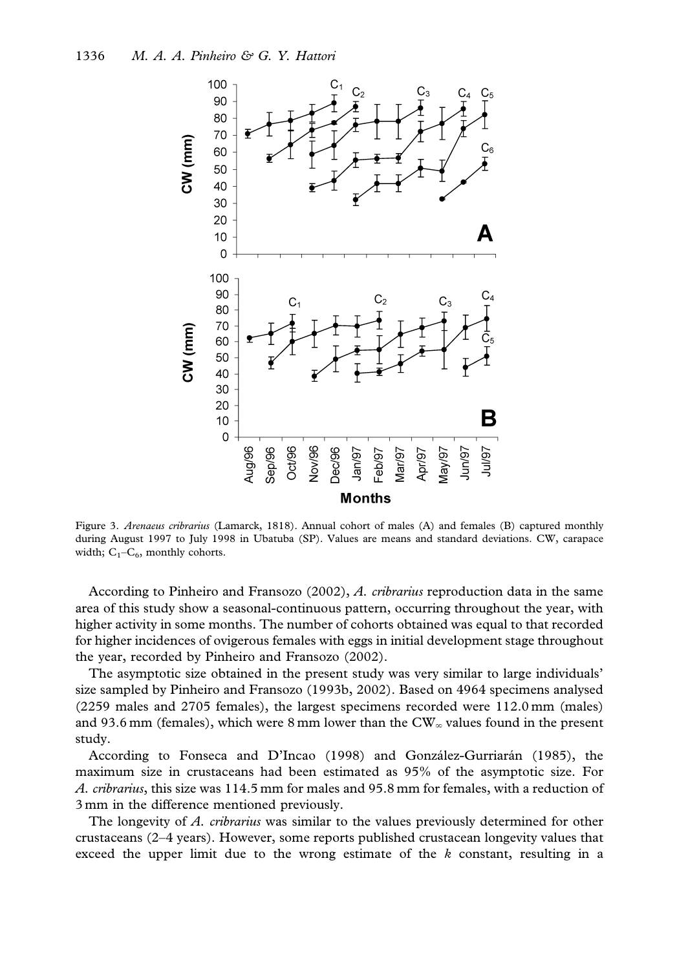

Figure 3. Arenaeus cribrarius (Lamarck, 1818). Annual cohort of males (A) and females (B) captured monthly during August 1997 to July 1998 in Ubatuba (SP). Values are means and standard deviations. CW, carapace width;  $C_1-C_6$ , monthly cohorts.

According to Pinheiro and Fransozo (2002), A. cribrarius reproduction data in the same area of this study show a seasonal-continuous pattern, occurring throughout the year, with higher activity in some months. The number of cohorts obtained was equal to that recorded for higher incidences of ovigerous females with eggs in initial development stage throughout the year, recorded by Pinheiro and Fransozo (2002).

The asymptotic size obtained in the present study was very similar to large individuals' size sampled by Pinheiro and Fransozo (1993b, 2002). Based on 4964 specimens analysed (2259 males and 2705 females), the largest specimens recorded were 112.0 mm (males) and 93.6 mm (females), which were 8 mm lower than the  $CW_{\infty}$  values found in the present study.

According to Fonseca and D'Incao (1998) and González-Gurriarán (1985), the maximum size in crustaceans had been estimated as 95% of the asymptotic size. For A. cribrarius, this size was 114.5 mm for males and 95.8 mm for females, with a reduction of 3 mm in the difference mentioned previously.

The longevity of A. cribrarius was similar to the values previously determined for other crustaceans (2–4 years). However, some reports published crustacean longevity values that exceed the upper limit due to the wrong estimate of the  $k$  constant, resulting in a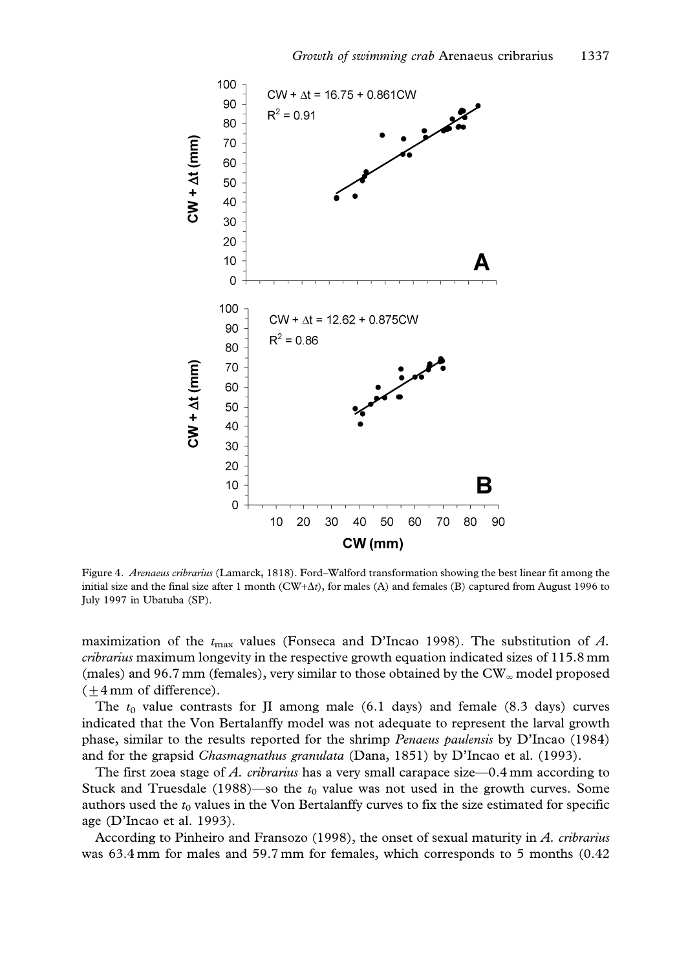

Figure 4. Arenaeus cribrarius (Lamarck, 1818). Ford–Walford transformation showing the best linear fit among the initial size and the final size after 1 month ( $CW+ \Delta t$ ), for males (A) and females (B) captured from August 1996 to July 1997 in Ubatuba (SP).

maximization of the  $t_{\text{max}}$  values (Fonseca and D'Incao 1998). The substitution of A. cribrarius maximum longevity in the respective growth equation indicated sizes of 115.8 mm (males) and 96.7 mm (females), very similar to those obtained by the  $CW_{\infty}$  model proposed  $(\pm 4 \,\text{mm of difference}).$ 

The  $t_0$  value contrasts for JI among male (6.1 days) and female (8.3 days) curves indicated that the Von Bertalanffy model was not adequate to represent the larval growth phase, similar to the results reported for the shrimp Penaeus paulensis by D'Incao (1984) and for the grapsid Chasmagnathus granulata (Dana, 1851) by D'Incao et al. (1993).

The first zoea stage of A. cribrarius has a very small carapace size—0.4 mm according to Stuck and Truesdale (1988)—so the  $t_0$  value was not used in the growth curves. Some authors used the  $t_0$  values in the Von Bertalanffy curves to fix the size estimated for specific age (D'Incao et al. 1993).

According to Pinheiro and Fransozo (1998), the onset of sexual maturity in A. cribrarius was 63.4 mm for males and 59.7 mm for females, which corresponds to 5 months (0.42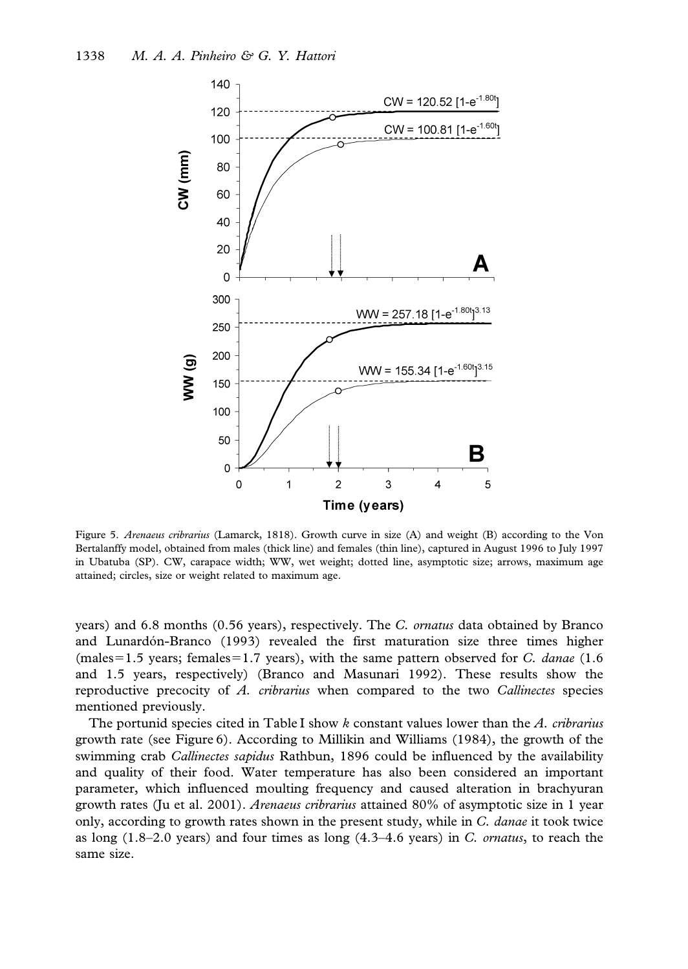

Figure 5. Arenaeus cribrarius (Lamarck, 1818). Growth curve in size (A) and weight (B) according to the Von Bertalanffy model, obtained from males (thick line) and females (thin line), captured in August 1996 to July 1997 in Ubatuba (SP). CW, carapace width; WW, wet weight; dotted line, asymptotic size; arrows, maximum age attained; circles, size or weight related to maximum age.

years) and 6.8 months (0.56 years), respectively. The C. ornatus data obtained by Branco and Lunardón-Branco (1993) revealed the first maturation size three times higher (males=1.5 years; females=1.7 years), with the same pattern observed for C. danae (1.6) and 1.5 years, respectively) (Branco and Masunari 1992). These results show the reproductive precocity of A. cribrarius when compared to the two Callinectes species mentioned previously.

The portunid species cited in Table I show k constant values lower than the  $\Lambda$ . *cribrarius* growth rate (see Figure 6). According to Millikin and Williams (1984), the growth of the swimming crab *Callinectes sapidus* Rathbun, 1896 could be influenced by the availability and quality of their food. Water temperature has also been considered an important parameter, which influenced moulting frequency and caused alteration in brachyuran growth rates (Ju et al. 2001). Arenaeus cribrarius attained 80% of asymptotic size in 1 year only, according to growth rates shown in the present study, while in C. danae it took twice as long  $(1.8-2.0 \text{ years})$  and four times as long  $(4.3-4.6 \text{ years})$  in C. *ornatus*, to reach the same size.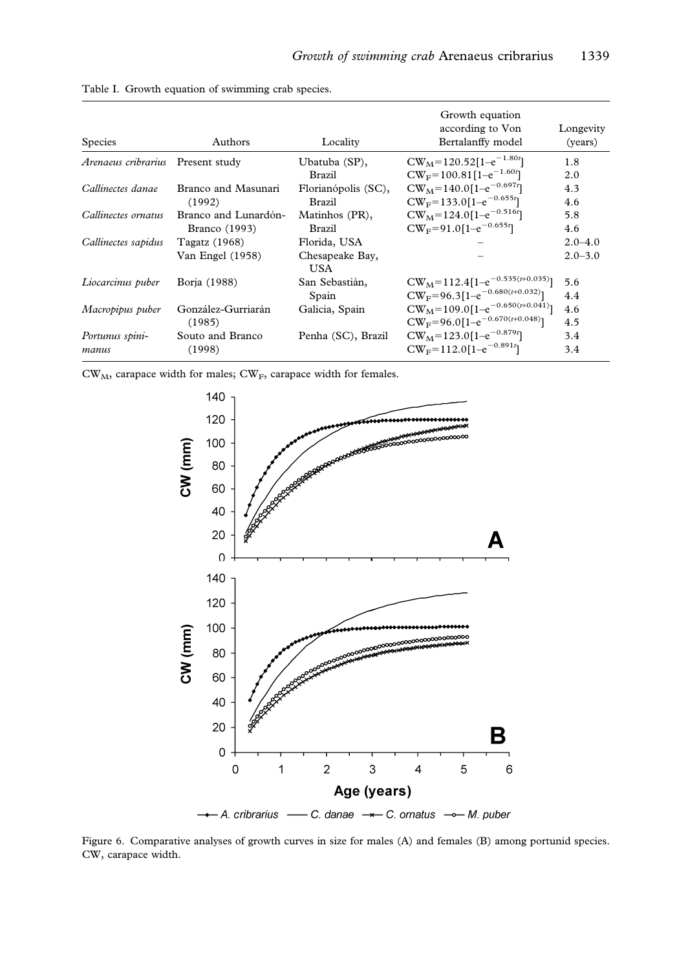| <b>Species</b>                    | Authors              | Locality               | Growth equation<br>according to Von<br>Bertalanffy model | Longevity<br>(years) |
|-----------------------------------|----------------------|------------------------|----------------------------------------------------------|----------------------|
| Arenaeus cribrarius Present study |                      | Ubatuba (SP),          | $CW_M = 120.52[1-e^{-1.80t}]$                            | 1.8                  |
|                                   |                      | <b>Brazil</b>          | $CW_F = 100.81[1-e^{-1.60t}]$                            | 2.0                  |
| Callinectes danae                 | Branco and Masunari  | Florianópolis (SC),    | $CW_M = 140.0[1-e^{-0.697t}]$                            | 4.3                  |
|                                   | (1992)               | <b>Brazil</b>          | $CW_F = 133.0[1-e^{-0.655t}]$                            | 4.6                  |
| Callinectes ornatus               | Branco and Lunardón- | Matinhos (PR),         | $CW_M = 124.0[1-e^{-0.516t}]$                            | 5.8                  |
|                                   | Branco (1993)        | Brazil                 | $CW_F = 91.0[1-e^{-0.655t}]$                             | 4.6                  |
| Callinectes sapidus               | Tagatz (1968)        | Florida, USA           |                                                          | $2.0 - 4.0$          |
|                                   | Van Engel (1958)     | Chesapeake Bay,<br>USA |                                                          | $2.0 - 3.0$          |
| Liocarcinus puber                 | Borja (1988)         | San Sebastián,         | $CW_M = 112.4[1-e^{-0.535(t+0.035)}]$                    | 5.6                  |
|                                   |                      | Spain                  | $CW_F = 96.3[1-e^{-0.680(t+0.032)}]$                     | 4.4                  |
| Macropipus puber                  | González-Gurriarán   | Galicia, Spain         | $CW_M = 109.0[1-e^{-0.650(t+0.041)}]$                    | 4.6                  |
|                                   | (1985)               |                        | $CW_F = 96.0[1-e^{-0.670(t+0.048)}]$                     | 4.5                  |
| Portunus spini-                   | Souto and Branco     | Penha (SC), Brazil     | $CW_M = 123.0[1-e^{-0.879t}]$                            | 3.4                  |
| manus                             | (1998)               |                        | $CW_F = 112.0[1-e^{-0.891t}]$                            | 3.4                  |

Table I. Growth equation of swimming crab species.

 $CW_M$ , carapace width for males;  $CW_F$ , carapace width for females.



Figure 6. Comparative analyses of growth curves in size for males (A) and females (B) among portunid species. CW, carapace width.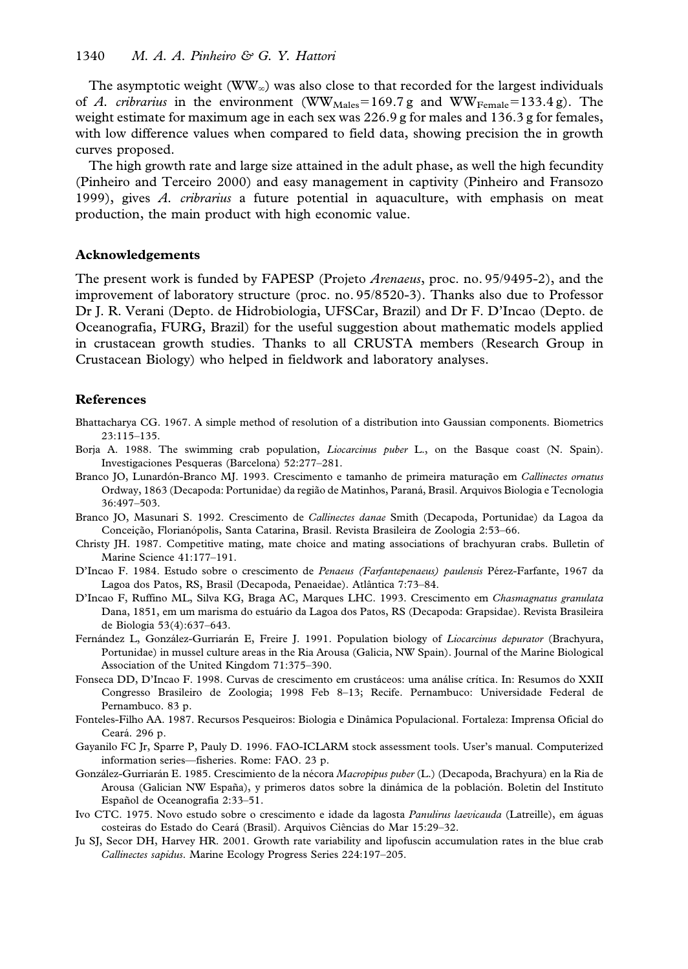The asymptotic weight (WW<sub> $_{\infty}$ </sub>) was also close to that recorded for the largest individuals of A. cribrarius in the environment (WW<sub>Males</sub>=169.7 g and WW<sub>Female</sub>=133.4 g). The weight estimate for maximum age in each sex was 226.9 g for males and 136.3 g for females, with low difference values when compared to field data, showing precision the in growth curves proposed.

The high growth rate and large size attained in the adult phase, as well the high fecundity (Pinheiro and Terceiro 2000) and easy management in captivity (Pinheiro and Fransozo 1999), gives  $\vec{A}$ , cribrarius a future potential in aquaculture, with emphasis on meat production, the main product with high economic value.

#### Acknowledgements

The present work is funded by FAPESP (Projeto Arenaeus, proc. no. 95/9495-2), and the improvement of laboratory structure (proc. no. 95/8520-3). Thanks also due to Professor Dr J. R. Verani (Depto. de Hidrobiologia, UFSCar, Brazil) and Dr F. D'Incao (Depto. de Oceanografia, FURG, Brazil) for the useful suggestion about mathematic models applied in crustacean growth studies. Thanks to all CRUSTA members (Research Group in Crustacean Biology) who helped in fieldwork and laboratory analyses.

# References

- Bhattacharya CG. 1967. A simple method of resolution of a distribution into Gaussian components. Biometrics 23:115–135.
- Borja A. 1988. The swimming crab population, Liocarcinus puber L., on the Basque coast (N. Spain). Investigaciones Pesqueras (Barcelona) 52:277–281.
- Branco JO, Lunardón-Branco MJ. 1993. Crescimento e tamanho de primeira maturação em Callinectes ornatus Ordway, 1863 (Decapoda: Portunidae) da região de Matinhos, Paraná, Brasil. Arquivos Biologia e Tecnologia 36:497–503.
- Branco JO, Masunari S. 1992. Crescimento de Callinectes danae Smith (Decapoda, Portunidae) da Lagoa da Conceição, Florianópolis, Santa Catarina, Brasil. Revista Brasileira de Zoologia 2:53–66.
- Christy JH. 1987. Competitive mating, mate choice and mating associations of brachyuran crabs. Bulletin of Marine Science 41:177–191.
- D'Incao F. 1984. Estudo sobre o crescimento de Penaeus (Farfantepenaeus) paulensis Pérez-Farfante, 1967 da Lagoa dos Patos, RS, Brasil (Decapoda, Penaeidae). Atlântica 7:73-84.
- D'Incao F, Ruffino ML, Silva KG, Braga AC, Marques LHC. 1993. Crescimento em Chasmagnatus granulata Dana, 1851, em um marisma do estuário da Lagoa dos Patos, RS (Decapoda: Grapsidae). Revista Brasileira de Biologia 53(4):637–643.
- Fernández L, González-Gurriarán E, Freire J. 1991. Population biology of Liocarcinus depurator (Brachyura, Portunidae) in mussel culture areas in the Ria Arousa (Galicia, NW Spain). Journal of the Marine Biological Association of the United Kingdom 71:375–390.
- Fonseca DD, D'Incao F. 1998. Curvas de crescimento em crustáceos: uma análise crítica. In: Resumos do XXII Congresso Brasileiro de Zoologia; 1998 Feb 8–13; Recife. Pernambuco: Universidade Federal de Pernambuco. 83 p.
- Fonteles-Filho AA. 1987. Recursos Pesqueiros: Biologia e Dinâmica Populacional. Fortaleza: Imprensa Oficial do Ceara´. 296 p.
- Gayanilo FC Jr, Sparre P, Pauly D. 1996. FAO-ICLARM stock assessment tools. User's manual. Computerized information series—fisheries. Rome: FAO. 23 p.
- González-Gurriarán E. 1985. Crescimiento de la nécora Macropipus puber (L.) (Decapoda, Brachyura) en la Ria de Arousa (Galician NW España), y primeros datos sobre la dinámica de la población. Boletin del Instituto Español de Oceanografia 2:33-51.
- Ivo CTC. 1975. Novo estudo sobre o crescimento e idade da lagosta Panulirus laevicauda (Latreille), em a´guas costeiras do Estado do Ceará (Brasil). Arquivos Ciências do Mar 15:29-32.
- Ju SJ, Secor DH, Harvey HR. 2001. Growth rate variability and lipofuscin accumulation rates in the blue crab Callinectes sapidus. Marine Ecology Progress Series 224:197–205.